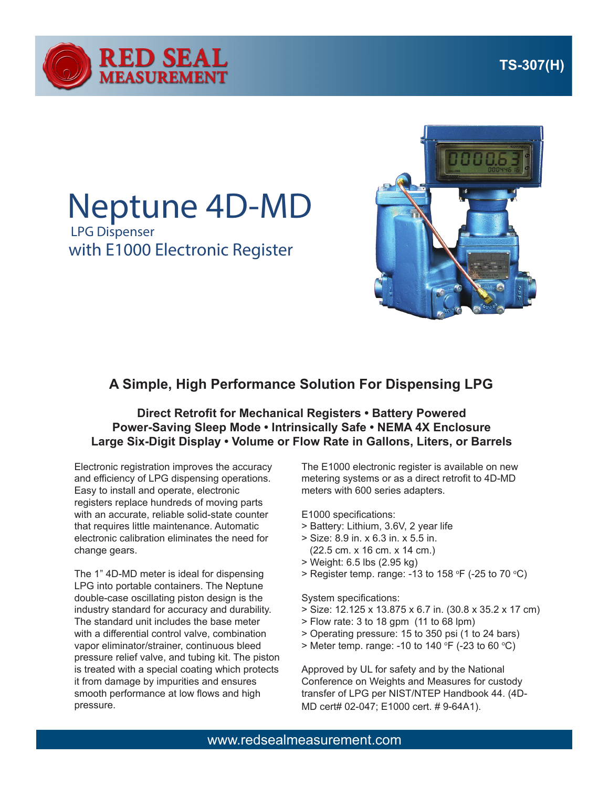



## Neptune 4D-MD

LPG Dispenser with E1000 Electronic Register



## **A Simple, High Performance Solution For Dispensing LPG**

## **Direct Retrofit for Mechanical Registers • Battery Powered Power-Saving Sleep Mode • Intrinsically Safe • NEMA 4X Enclosure Large Six-Digit Display • Volume or Flow Rate in Gallons, Liters, or Barrels**

Electronic registration improves the accuracy and efficiency of LPG dispensing operations. Easy to install and operate, electronic registers replace hundreds of moving parts with an accurate, reliable solid-state counter that requires little maintenance. Automatic electronic calibration eliminates the need for change gears.

The 1" 4D-MD meter is ideal for dispensing LPG into portable containers. The Neptune double-case oscillating piston design is the industry standard for accuracy and durability. The standard unit includes the base meter with a differential control valve, combination vapor eliminator/strainer, continuous bleed pressure relief valve, and tubing kit. The piston is treated with a special coating which protects it from damage by impurities and ensures smooth performance at low flows and high pressure.

The E1000 electronic register is available on new metering systems or as a direct retrofit to 4D-MD meters with 600 series adapters.

E1000 specifications:

- > Battery: Lithium, 3.6V, 2 year life
- > Size: 8.9 in. x 6.3 in. x 5.5 in. (22.5 cm. x 16 cm. x 14 cm.)
- > Weight: 6.5 lbs (2.95 kg)
- > Register temp. range: -13 to 158 °F (-25 to 70 °C)

System specifications:

- > Size: 12.125 x 13.875 x 6.7 in. (30.8 x 35.2 x 17 cm)
- > Flow rate: 3 to 18 gpm (11 to 68 lpm)
- > Operating pressure: 15 to 350 psi (1 to 24 bars)
- > Meter temp. range: -10 to 140 °F (-23 to 60 °C)

Approved by UL for safety and by the National Conference on Weights and Measures for custody transfer of LPG per NIST/NTEP Handbook 44. (4D-MD cert# 02-047; E1000 cert. # 9-64A1).